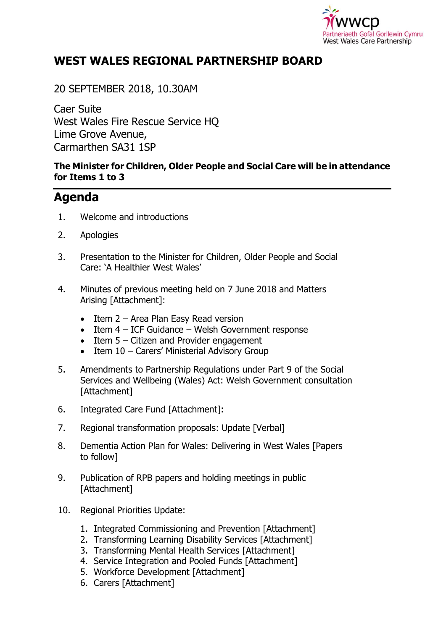

## **WEST WALES REGIONAL PARTNERSHIP BOARD**

### 20 SEPTEMBER 2018, 10.30AM

Caer Suite West Wales Fire Rescue Service HQ Lime Grove Avenue, Carmarthen SA31 1SP

#### **The Minister for Children, Older People and Social Care will be in attendance for Items 1 to 3**

# **Agenda**

- 1. Welcome and introductions
- 2. Apologies
- 3. Presentation to the Minister for Children, Older People and Social Care: 'A Healthier West Wales'
- 4. Minutes of previous meeting held on 7 June 2018 and Matters Arising [Attachment]:
	- $\bullet$  Item 2 Area Plan Easy Read version
	- $\bullet$  Item 4 ICF Guidance Welsh Government response
	- Item 5 Citizen and Provider engagement
	- Item 10 Carers' Ministerial Advisory Group
- 5. Amendments to Partnership Regulations under Part 9 of the Social Services and Wellbeing (Wales) Act: Welsh Government consultation [Attachment]
- 6. Integrated Care Fund [Attachment]:
- 7. Regional transformation proposals: Update [Verbal]
- 8. Dementia Action Plan for Wales: Delivering in West Wales [Papers to follow]
- 9. Publication of RPB papers and holding meetings in public [Attachment]
- 10. Regional Priorities Update:
	- 1. Integrated Commissioning and Prevention [Attachment]
	- 2. Transforming Learning Disability Services [Attachment]
	- 3. Transforming Mental Health Services [Attachment]
	- 4. Service Integration and Pooled Funds [Attachment]
	- 5. Workforce Development [Attachment]
	- 6. Carers [Attachment]